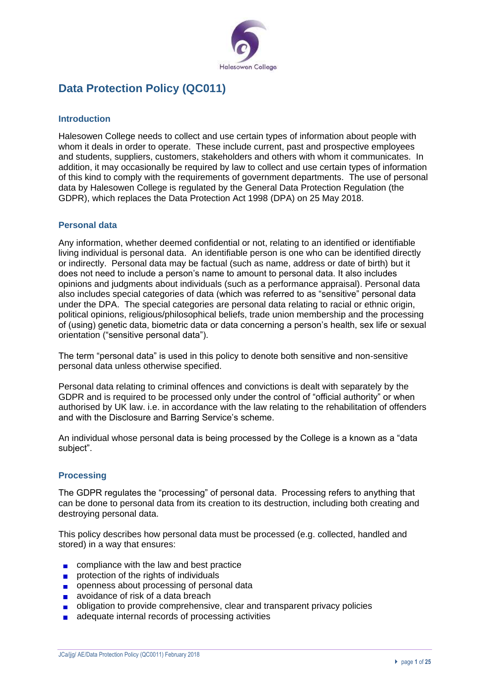

# **Data Protection Policy (QC011)**

## **Introduction**

Halesowen College needs to collect and use certain types of information about people with whom it deals in order to operate. These include current, past and prospective employees and students, suppliers, customers, stakeholders and others with whom it communicates. In addition, it may occasionally be required by law to collect and use certain types of information of this kind to comply with the requirements of government departments. The use of personal data by Halesowen College is regulated by the General Data Protection Regulation (the GDPR), which replaces the Data Protection Act 1998 (DPA) on 25 May 2018.

## **Personal data**

Any information, whether deemed confidential or not, relating to an identified or identifiable living individual is personal data. An identifiable person is one who can be identified directly or indirectly. Personal data may be factual (such as name, address or date of birth) but it does not need to include a person's name to amount to personal data. It also includes opinions and judgments about individuals (such as a performance appraisal). Personal data also includes special categories of data (which was referred to as "sensitive" personal data under the DPA. The special categories are personal data relating to racial or ethnic origin, political opinions, religious/philosophical beliefs, trade union membership and the processing of (using) genetic data, biometric data or data concerning a person's health, sex life or sexual orientation ("sensitive personal data").

The term "personal data" is used in this policy to denote both sensitive and non-sensitive personal data unless otherwise specified.

Personal data relating to criminal offences and convictions is dealt with separately by the GDPR and is required to be processed only under the control of "official authority" or when authorised by UK law. i.e. in accordance with the law relating to the rehabilitation of offenders and with the Disclosure and Barring Service's scheme.

An individual whose personal data is being processed by the College is a known as a "data subject".

## **Processing**

The GDPR regulates the "processing" of personal data. Processing refers to anything that can be done to personal data from its creation to its destruction, including both creating and destroying personal data.

This policy describes how personal data must be processed (e.g. collected, handled and stored) in a way that ensures:

- $\Box$  compliance with the law and best practice
- protection of the rights of individuals  $\blacksquare$
- **p** openness about processing of personal data
- avoidance of risk of a data breach  $\blacksquare$
- obligation to provide comprehensive, clear and transparent privacy policies  $\blacksquare$
- adequate internal records of processing activities $\mathbf{r}$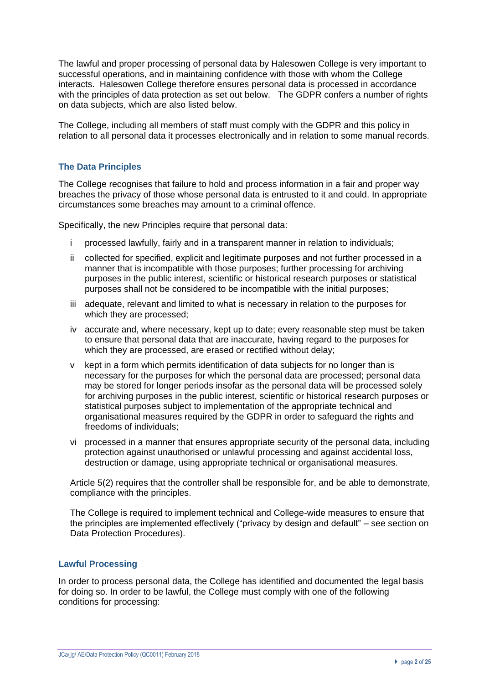The lawful and proper processing of personal data by Halesowen College is very important to successful operations, and in maintaining confidence with those with whom the College interacts. Halesowen College therefore ensures personal data is processed in accordance with the principles of data protection as set out below. The GDPR confers a number of rights on data subjects, which are also listed below.

The College, including all members of staff must comply with the GDPR and this policy in relation to all personal data it processes electronically and in relation to some manual records.

## **The Data Principles**

The College recognises that failure to hold and process information in a fair and proper way breaches the privacy of those whose personal data is entrusted to it and could. In appropriate circumstances some breaches may amount to a criminal offence.

Specifically, the new Principles require that personal data:

- i processed lawfully, fairly and in a transparent manner in relation to individuals;
- ii collected for specified, explicit and legitimate purposes and not further processed in a manner that is incompatible with those purposes; further processing for archiving purposes in the public interest, scientific or historical research purposes or statistical purposes shall not be considered to be incompatible with the initial purposes;
- iii adequate, relevant and limited to what is necessary in relation to the purposes for which they are processed;
- iv accurate and, where necessary, kept up to date; every reasonable step must be taken to ensure that personal data that are inaccurate, having regard to the purposes for which they are processed, are erased or rectified without delay;
- v kept in a form which permits identification of data subjects for no longer than is necessary for the purposes for which the personal data are processed; personal data may be stored for longer periods insofar as the personal data will be processed solely for archiving purposes in the public interest, scientific or historical research purposes or statistical purposes subject to implementation of the appropriate technical and organisational measures required by the GDPR in order to safeguard the rights and freedoms of individuals;
- vi processed in a manner that ensures appropriate security of the personal data, including protection against unauthorised or unlawful processing and against accidental loss, destruction or damage, using appropriate technical or organisational measures.

Article 5(2) requires that the controller shall be responsible for, and be able to demonstrate, compliance with the principles.

The College is required to implement technical and College-wide measures to ensure that the principles are implemented effectively ("privacy by design and default" – see section on Data Protection Procedures).

## **Lawful Processing**

In order to process personal data, the College has identified and documented the legal basis for doing so. In order to be lawful, the College must comply with one of the following conditions for processing: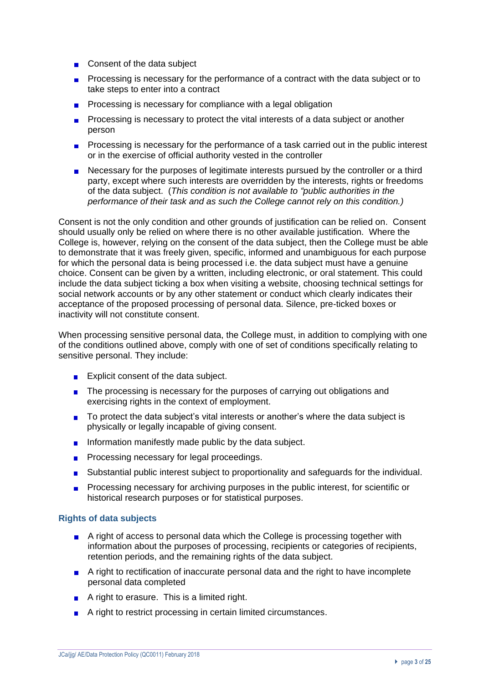- Consent of the data subject
- **Processing is necessary for the performance of a contract with the data subject or to** take steps to enter into a contract
- **Processing is necessary for compliance with a legal obligation**
- Processing is necessary to protect the vital interests of a data subject or another  $\blacksquare$ person
- **Processing is necessary for the performance of a task carried out in the public interest** or in the exercise of official authority vested in the controller
- **Necessary for the purposes of legitimate interests pursued by the controller or a third** party, except where such interests are overridden by the interests, rights or freedoms of the data subject. (*This condition is not available to "public authorities in the performance of their task and as such the College cannot rely on this condition.)*

Consent is not the only condition and other grounds of justification can be relied on. Consent should usually only be relied on where there is no other available justification. Where the College is, however, relying on the consent of the data subject, then the College must be able to demonstrate that it was freely given, specific, informed and unambiguous for each purpose for which the personal data is being processed i.e. the data subject must have a genuine choice. Consent can be given by a written, including electronic, or oral statement. This could include the data subject ticking a box when visiting a website, choosing technical settings for social network accounts or by any other statement or conduct which clearly indicates their acceptance of the proposed processing of personal data. Silence, pre-ticked boxes or inactivity will not constitute consent.

When processing sensitive personal data, the College must, in addition to complying with one of the conditions outlined above, comply with one of set of conditions specifically relating to sensitive personal. They include:

- **Explicit consent of the data subject.**
- The processing is necessary for the purposes of carrying out obligations and exercising rights in the context of employment.
- To protect the data subject's vital interests or another's where the data subject is physically or legally incapable of giving consent.
- Information manifestly made public by the data subject.
- **Processing necessary for legal proceedings.**
- Substantial public interest subject to proportionality and safeguards for the individual.
- **Processing necessary for archiving purposes in the public interest, for scientific or** historical research purposes or for statistical purposes.

#### **Rights of data subjects**

- A right of access to personal data which the College is processing together with information about the purposes of processing, recipients or categories of recipients, retention periods, and the remaining rights of the data subject.
- A right to rectification of inaccurate personal data and the right to have incomplete personal data completed
- $\blacksquare$  A right to erasure. This is a limited right.
- A right to restrict processing in certain limited circumstances.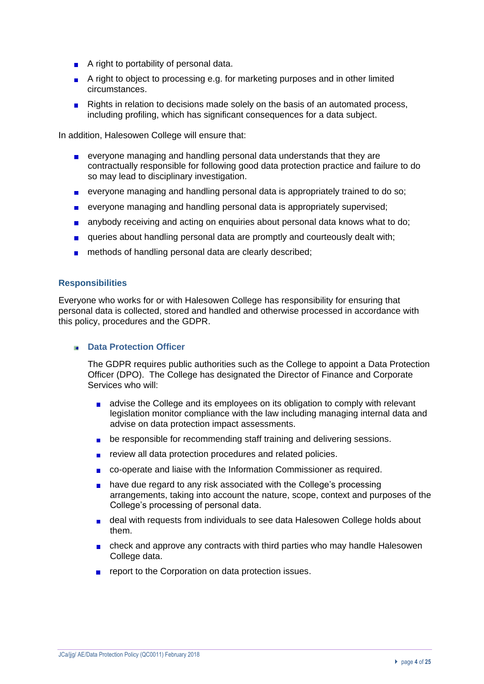- A right to portability of personal data.
- A right to object to processing e.g. for marketing purposes and in other limited circumstances.
- Rights in relation to decisions made solely on the basis of an automated process, including profiling, which has significant consequences for a data subject.

In addition, Halesowen College will ensure that:

- **EXECTED** everyone managing and handling personal data understands that they are contractually responsible for following good data protection practice and failure to do so may lead to disciplinary investigation.
- **EXECT** everyone managing and handling personal data is appropriately trained to do so;
- everyone managing and handling personal data is appropriately supervised;  $\blacksquare$
- anybody receiving and acting on enquiries about personal data knows what to do; a.
- queries about handling personal data are promptly and courteously dealt with;
- **n** methods of handling personal data are clearly described;

#### **Responsibilities**

Everyone who works for or with Halesowen College has responsibility for ensuring that personal data is collected, stored and handled and otherwise processed in accordance with this policy, procedures and the GDPR.

#### **Data Protection Officer**

The GDPR requires public authorities such as the College to appoint a Data Protection Officer (DPO). The College has designated the Director of Finance and Corporate Services who will:

- **a** advise the College and its employees on its obligation to comply with relevant legislation monitor compliance with the law including managing internal data and advise on data protection impact assessments.
- **be responsible for recommending staff training and delivering sessions.**
- **Fig. 2** review all data protection procedures and related policies.
- $\blacksquare$  co-operate and liaise with the Information Commissioner as required.
- **have due regard to any risk associated with the College's processing** arrangements, taking into account the nature, scope, context and purposes of the College's processing of personal data.
- **deal with requests from individuals to see data Halesowen College holds about** them.
- check and approve any contracts with third parties who may handle Halesowen College data.
- **Paramele 1** report to the Corporation on data protection issues.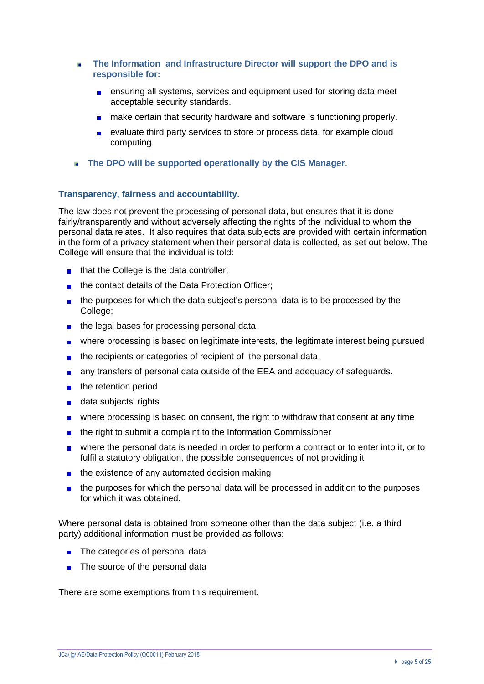- ×. **The Information and Infrastructure Director will support the DPO and is responsible for:** 
	- **EXT** ensuring all systems, services and equipment used for storing data meet acceptable security standards.
	- **n** make certain that security hardware and software is functioning properly.
	- evaluate third party services to store or process data, for example cloud computing.
- **The DPO will be supported operationally by the CIS Manager**.

## **Transparency, fairness and accountability.**

The law does not prevent the processing of personal data, but ensures that it is done fairly/transparently and without adversely affecting the rights of the individual to whom the personal data relates. It also requires that data subjects are provided with certain information in the form of a privacy statement when their personal data is collected, as set out below. The College will ensure that the individual is told:

- $\blacksquare$  that the College is the data controller;
- the contact details of the Data Protection Officer;  $\blacksquare$
- the purposes for which the data subject's personal data is to be processed by the College;
- the legal bases for processing personal data
- where processing is based on legitimate interests, the legitimate interest being pursued
- the recipients or categories of recipient of the personal data  $\blacksquare$
- any transfers of personal data outside of the EEA and adequacy of safeguards.  $\blacksquare$
- the retention period  $\blacksquare$
- data subjects' rights  $\blacksquare$
- where processing is based on consent, the right to withdraw that consent at any time  $\blacksquare$
- the right to submit a complaint to the Information Commissioner  $\blacksquare$
- where the personal data is needed in order to perform a contract or to enter into it, or to fulfil a statutory obligation, the possible consequences of not providing it
- the existence of any automated decision making  $\blacksquare$
- the purposes for which the personal data will be processed in addition to the purposes  $\blacksquare$ for which it was obtained.

Where personal data is obtained from someone other than the data subject (i.e. a third party) additional information must be provided as follows:

- The categories of personal data  $\blacksquare$
- The source of the personal data  $\blacksquare$

There are some exemptions from this requirement.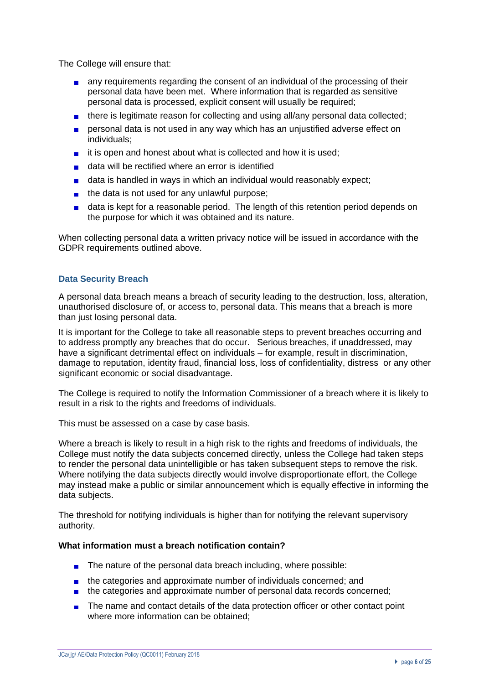The College will ensure that:

- **a** any requirements regarding the consent of an individual of the processing of their personal data have been met. Where information that is regarded as sensitive personal data is processed, explicit consent will usually be required;
- $\blacksquare$  there is legitimate reason for collecting and using all/any personal data collected;
- **personal data is not used in any way which has an unjustified adverse effect on** individuals;
- $\blacksquare$  it is open and honest about what is collected and how it is used;
- data will be rectified where an error is identified
- data is handled in ways in which an individual would reasonably expect:
- $\blacksquare$  the data is not used for any unlawful purpose;
- data is kept for a reasonable period. The length of this retention period depends on the purpose for which it was obtained and its nature.

When collecting personal data a written privacy notice will be issued in accordance with the GDPR requirements outlined above.

## **Data Security Breach**

A personal data breach means a breach of security leading to the destruction, loss, alteration, unauthorised disclosure of, or access to, personal data. This means that a breach is more than just losing personal data.

It is important for the College to take all reasonable steps to prevent breaches occurring and to address promptly any breaches that do occur. Serious breaches, if unaddressed, may have a significant detrimental effect on individuals – for example, result in discrimination, damage to reputation, identity fraud, financial loss, loss of confidentiality, distress or any other significant economic or social disadvantage.

The College is required to notify the Information Commissioner of a breach where it is likely to result in a risk to the rights and freedoms of individuals.

This must be assessed on a case by case basis.

Where a breach is likely to result in a high risk to the rights and freedoms of individuals, the College must notify the data subjects concerned directly, unless the College had taken steps to render the personal data unintelligible or has taken subsequent steps to remove the risk. Where notifying the data subjects directly would involve disproportionate effort, the College may instead make a public or similar announcement which is equally effective in informing the data subjects.

The threshold for notifying individuals is higher than for notifying the relevant supervisory authority.

#### **What information must a breach notification contain?**

- The nature of the personal data breach including, where possible:
- **the categories and approximate number of individuals concerned; and**
- the categories and approximate number of personal data records concerned;
- The name and contact details of the data protection officer or other contact point where more information can be obtained;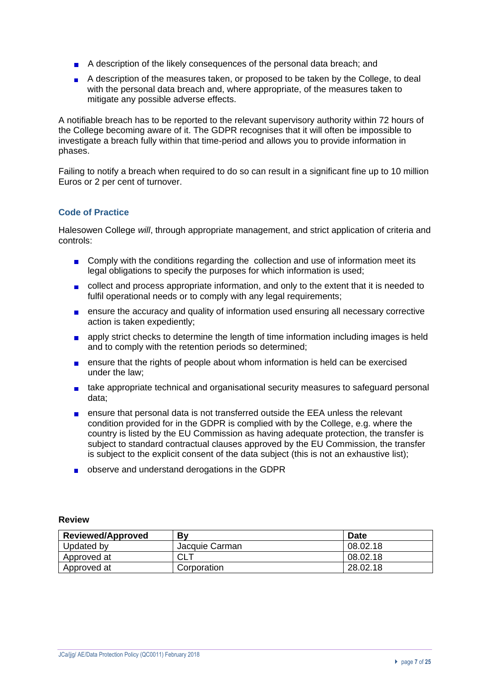- A description of the likely consequences of the personal data breach; and
- A description of the measures taken, or proposed to be taken by the College, to deal with the personal data breach and, where appropriate, of the measures taken to mitigate any possible adverse effects.

A notifiable breach has to be reported to the relevant supervisory authority within 72 hours of the College becoming aware of it. The GDPR recognises that it will often be impossible to investigate a breach fully within that time-period and allows you to provide information in phases.

Failing to notify a breach when required to do so can result in a significant fine up to 10 million Euros or 2 per cent of turnover.

## **Code of Practice**

Halesowen College *will*, through appropriate management, and strict application of criteria and controls:

- Comply with the conditions regarding the collection and use of information meet its legal obligations to specify the purposes for which information is used;
- collect and process appropriate information, and only to the extent that it is needed to fulfil operational needs or to comply with any legal requirements;
- ensure the accuracy and quality of information used ensuring all necessary corrective  $\blacksquare$ action is taken expediently;
- **a** apply strict checks to determine the length of time information including images is held and to comply with the retention periods so determined;
- ensure that the rights of people about whom information is held can be exercised  $\blacksquare$ under the law;
- **take appropriate technical and organisational security measures to safeguard personal** data;
- $\blacksquare$ ensure that personal data is not transferred outside the EEA unless the relevant condition provided for in the GDPR is complied with by the College, e.g. where the country is listed by the EU Commission as having adequate protection, the transfer is subject to standard contractual clauses approved by the EU Commission, the transfer is subject to the explicit consent of the data subject (this is not an exhaustive list);
- observe and understand derogations in the GDPR

## **Review**

| <b>Reviewed/Approved</b> | Bv             | <b>Date</b> |
|--------------------------|----------------|-------------|
| Updated by               | Jacquie Carman | 08.02.18    |
| Approved at              | CLT            | 08.02.18    |
| Approved at              | Corporation    | 28.02.18    |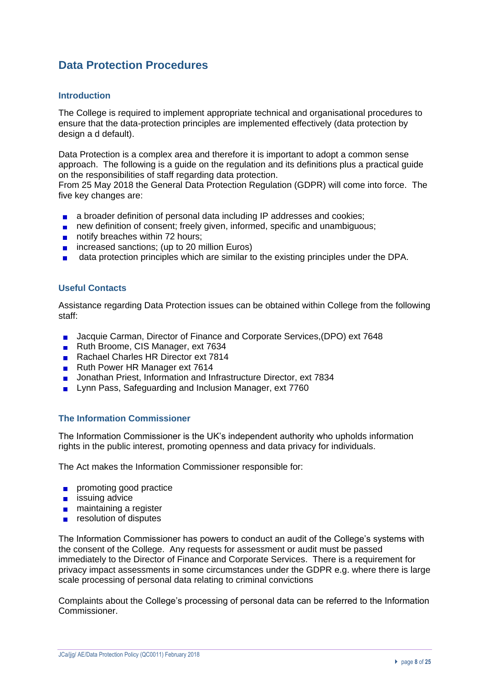# **Data Protection Procedures**

## **Introduction**

The College is required to implement appropriate technical and organisational procedures to ensure that the data-protection principles are implemented effectively (data protection by design a d default).

Data Protection is a complex area and therefore it is important to adopt a common sense approach. The following is a guide on the regulation and its definitions plus a practical guide on the responsibilities of staff regarding data protection.

From 25 May 2018 the General Data Protection Regulation (GDPR) will come into force. The five key changes are:

- **a** a broader definition of personal data including IP addresses and cookies;
- new definition of consent; freely given, informed, specific and unambiguous;
- notify breaches within 72 hours;
- $\blacksquare$  increased sanctions; (up to 20 million Euros)
- data protection principles which are similar to the existing principles under the DPA.

#### **Useful Contacts**

Assistance regarding Data Protection issues can be obtained within College from the following staff:

- **Jacquie Carman, Director of Finance and Corporate Services, (DPO) ext 7648**
- Ruth Broome, CIS Manager, ext 7634
- Rachael Charles HR Director ext 7814
- Ruth Power HR Manager ext 7614
- **Jonathan Priest, Information and Infrastructure Director, ext 7834**
- **Lynn Pass, Safeguarding and Inclusion Manager, ext 7760**

#### **The Information Commissioner**

The Information Commissioner is the UK's independent authority who upholds information rights in the public interest, promoting openness and data privacy for individuals.

The Act makes the Information Commissioner responsible for:

- **promoting good practice**
- $\blacksquare$  issuing advice
- **n** maintaining a register
- $\blacksquare$  resolution of disputes

The Information Commissioner has powers to conduct an audit of the College's systems with the consent of the College. Any requests for assessment or audit must be passed immediately to the Director of Finance and Corporate Services. There is a requirement for privacy impact assessments in some circumstances under the GDPR e.g. where there is large scale processing of personal data relating to criminal convictions

Complaints about the College's processing of personal data can be referred to the Information Commissioner.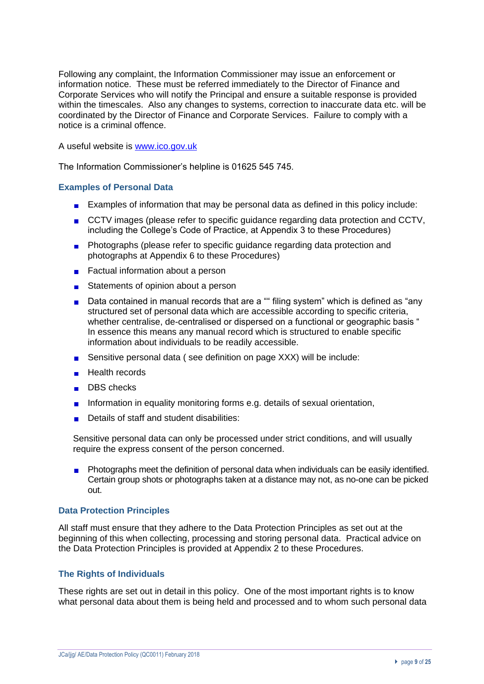Following any complaint, the Information Commissioner may issue an enforcement or information notice. These must be referred immediately to the Director of Finance and Corporate Services who will notify the Principal and ensure a suitable response is provided within the timescales. Also any changes to systems, correction to inaccurate data etc. will be coordinated by the Director of Finance and Corporate Services. Failure to comply with a notice is a criminal offence.

A useful website is [www.ico.gov.uk](http://www.ico.gov.uk/)

The Information Commissioner's helpline is 01625 545 745.

## **Examples of Personal Data**

- **Examples of information that may be personal data as defined in this policy include:**
- CCTV images (please refer to specific guidance regarding data protection and CCTV, including the College's Code of Practice, at Appendix 3 to these Procedures)
- **Photographs (please refer to specific guidance regarding data protection and** photographs at Appendix 6 to these Procedures)
- Factual information about a person
- Statements of opinion about a person
- Data contained in manual records that are a "" filing system" which is defined as "any structured set of personal data which are accessible according to specific criteria, whether centralise, de-centralised or dispersed on a functional or geographic basis " In essence this means any manual record which is structured to enable specific information about individuals to be readily accessible.
- **Sensitive personal data ( see definition on page XXX) will be include:**
- **Health records**
- DBS checks
- Information in equality monitoring forms e.g. details of sexual orientation,
- Details of staff and student disabilities:

Sensitive personal data can only be processed under strict conditions, and will usually require the express consent of the person concerned.

Photographs meet the definition of personal data when individuals can be easily identified.  $\blacksquare$ Certain group shots or photographs taken at a distance may not, as no-one can be picked out.

#### **Data Protection Principles**

All staff must ensure that they adhere to the Data Protection Principles as set out at the beginning of this when collecting, processing and storing personal data. Practical advice on the Data Protection Principles is provided at Appendix 2 to these Procedures.

## **The Rights of Individuals**

These rights are set out in detail in this policy. One of the most important rights is to know what personal data about them is being held and processed and to whom such personal data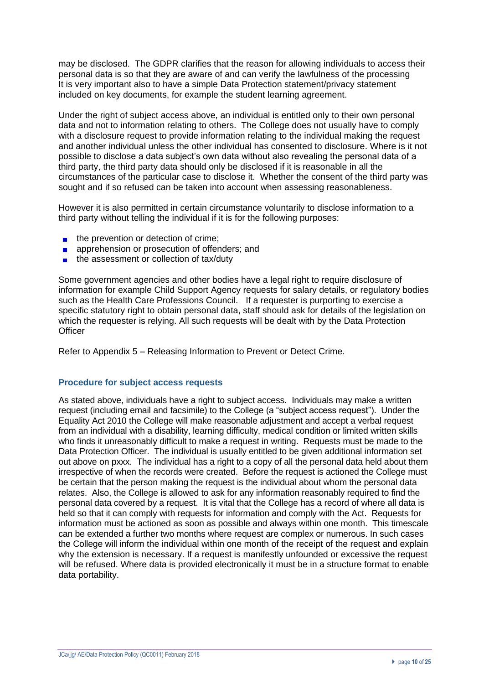may be disclosed. The GDPR clarifies that the reason for allowing individuals to access their personal data is so that they are aware of and can verify the lawfulness of the processing It is very important also to have a simple Data Protection statement/privacy statement included on key documents, for example the student learning agreement.

Under the right of subject access above, an individual is entitled only to their own personal data and not to information relating to others. The College does not usually have to comply with a disclosure request to provide information relating to the individual making the request and another individual unless the other individual has consented to disclosure. Where is it not possible to disclose a data subject's own data without also revealing the personal data of a third party, the third party data should only be disclosed if it is reasonable in all the circumstances of the particular case to disclose it. Whether the consent of the third party was sought and if so refused can be taken into account when assessing reasonableness.

However it is also permitted in certain circumstance voluntarily to disclose information to a third party without telling the individual if it is for the following purposes:

- $\blacksquare$  the prevention or detection of crime;
- apprehension or prosecution of offenders; and **COLLECTION**
- $\blacksquare$  the assessment or collection of tax/duty

Some government agencies and other bodies have a legal right to require disclosure of information for example Child Support Agency requests for salary details, or regulatory bodies such as the Health Care Professions Council. If a requester is purporting to exercise a specific statutory right to obtain personal data, staff should ask for details of the legislation on which the requester is relying. All such requests will be dealt with by the Data Protection **Officer** 

Refer to Appendix 5 – Releasing Information to Prevent or Detect Crime.

#### **Procedure for subject access requests**

As stated above, individuals have a right to subject access. Individuals may make a written request (including email and facsimile) to the College (a "subject access request"). Under the Equality Act 2010 the College will make reasonable adjustment and accept a verbal request from an individual with a disability, learning difficulty, medical condition or limited written skills who finds it unreasonably difficult to make a request in writing. Requests must be made to the Data Protection Officer. The individual is usually entitled to be given additional information set out above on pxxx. The individual has a right to a copy of all the personal data held about them irrespective of when the records were created. Before the request is actioned the College must be certain that the person making the request is the individual about whom the personal data relates. Also, the College is allowed to ask for any information reasonably required to find the personal data covered by a request. It is vital that the College has a record of where all data is held so that it can comply with requests for information and comply with the Act. Requests for information must be actioned as soon as possible and always within one month. This timescale can be extended a further two months where request are complex or numerous. In such cases the College will inform the individual within one month of the receipt of the request and explain why the extension is necessary. If a request is manifestly unfounded or excessive the request will be refused. Where data is provided electronically it must be in a structure format to enable data portability.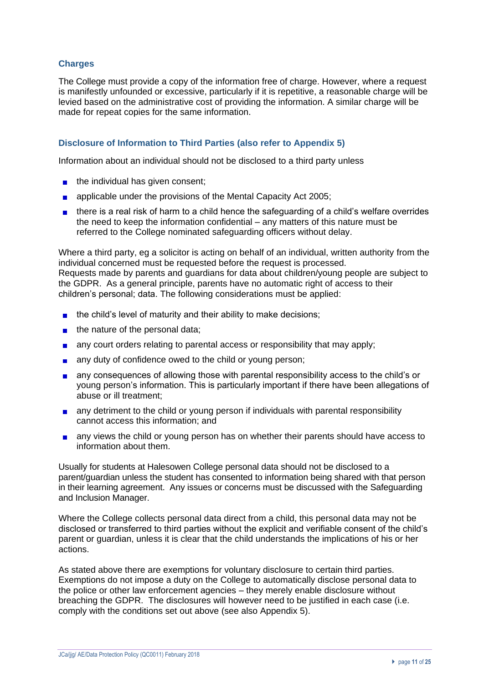## **Charges**

The College must provide a copy of the information free of charge. However, where a request is manifestly unfounded or excessive, particularly if it is repetitive, a reasonable charge will be levied based on the administrative cost of providing the information. A similar charge will be made for repeat copies for the same information.

## **Disclosure of Information to Third Parties (also refer to Appendix 5)**

Information about an individual should not be disclosed to a third party unless

- $\blacksquare$  the individual has given consent;
- **a** applicable under the provisions of the Mental Capacity Act 2005;
- **there is a real risk of harm to a child hence the safeguarding of a child's welfare overrides** the need to keep the information confidential – any matters of this nature must be referred to the College nominated safeguarding officers without delay.

Where a third party, eg a solicitor is acting on behalf of an individual, written authority from the individual concerned must be requested before the request is processed. Requests made by parents and guardians for data about children/young people are subject to the GDPR. As a general principle, parents have no automatic right of access to their children's personal; data. The following considerations must be applied:

- $\blacksquare$  the child's level of maturity and their ability to make decisions;
- $\blacksquare$  the nature of the personal data;
- any court orders relating to parental access or responsibility that may apply;
- any duty of confidence owed to the child or young person;
- any consequences of allowing those with parental responsibility access to the child's or **College** young person's information. This is particularly important if there have been allegations of abuse or ill treatment;
- any detriment to the child or young person if individuals with parental responsibility cannot access this information; and
- **a** any views the child or young person has on whether their parents should have access to information about them.

Usually for students at Halesowen College personal data should not be disclosed to a parent/guardian unless the student has consented to information being shared with that person in their learning agreement. Any issues or concerns must be discussed with the Safeguarding and Inclusion Manager.

Where the College collects personal data direct from a child, this personal data may not be disclosed or transferred to third parties without the explicit and verifiable consent of the child's parent or guardian, unless it is clear that the child understands the implications of his or her actions.

As stated above there are exemptions for voluntary disclosure to certain third parties. Exemptions do not impose a duty on the College to automatically disclose personal data to the police or other law enforcement agencies – they merely enable disclosure without breaching the GDPR. The disclosures will however need to be justified in each case (i.e. comply with the conditions set out above (see also Appendix 5).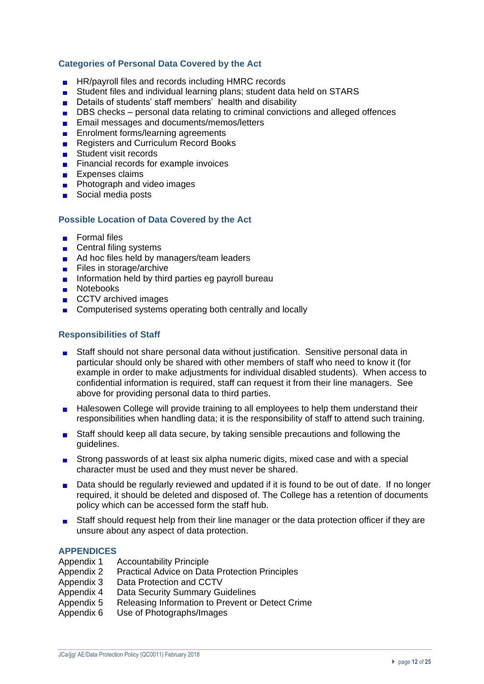## **Categories of Personal Data Covered by the Act**

- HR/payroll files and records including HMRC records
- Student files and individual learning plans; student data held on STARS
- Details of students' staff members' health and disability
- $\mathbf{r}$ DBS checks – personal data relating to criminal convictions and alleged offences
- Email messages and documents/memos/letters  $\mathbf{r}$
- **Enrolment forms/learning agreements**
- Registers and Curriculum Record Books
- Student visit records
- $\mathbf{r}$ Financial records for example invoices
- **Expenses claims**
- Photograph and video images  $\mathbf{r}$
- Social media posts

## **Possible Location of Data Covered by the Act**

- **Formal files**
- Central filing systems
- Ad hoc files held by managers/team leaders
- Files in storage/archive
- Information held by third parties eg payroll bureau
- **Notebooks**
- CCTV archived images
- Computerised systems operating both centrally and locally

## **Responsibilities of Staff**

- Staff should not share personal data without justification. Sensitive personal data in  $\blacksquare$ particular should only be shared with other members of staff who need to know it (for example in order to make adjustments for individual disabled students). When access to confidential information is required, staff can request it from their line managers. See above for providing personal data to third parties.
- $\blacksquare$ Halesowen College will provide training to all employees to help them understand their responsibilities when handling data; it is the responsibility of staff to attend such training.
- Staff should keep all data secure, by taking sensible precautions and following the  $\mathbf{r}$ guidelines.
- Strong passwords of at least six alpha numeric digits, mixed case and with a special  $\mathcal{L}_{\text{max}}$ character must be used and they must never be shared.
- Data should be regularly reviewed and updated if it is found to be out of date. If no longer  $\blacksquare$ required, it should be deleted and disposed of. The College has a retention of documents policy which can be accessed form the staff hub.
- Staff should request help from their line manager or the data protection officer if they are  $\blacksquare$ unsure about any aspect of data protection.

#### **APPENDICES**

- Appendix 1 Accountability Principle
- Appendix 2 Practical Advice on Data Protection Principles
- Appendix 3 Data Protection and CCTV
- Appendix 4 Data Security Summary Guidelines
- Appendix 5 Releasing Information to Prevent or Detect Crime
- Appendix 6 Use of Photographs/Images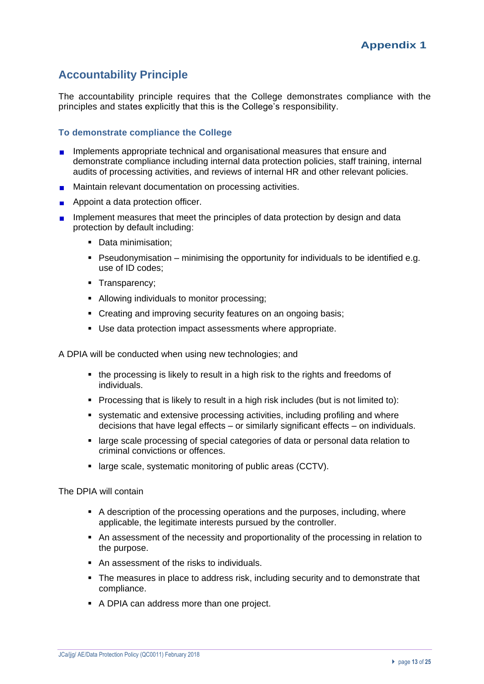# **Accountability Principle**

The accountability principle requires that the College demonstrates compliance with the principles and states explicitly that this is the College's responsibility.

## **To demonstrate compliance the College**

- **Implements appropriate technical and organisational measures that ensure and** demonstrate compliance including internal data protection policies, staff training, internal audits of processing activities, and reviews of internal HR and other relevant policies.
- **Maintain relevant documentation on processing activities.**
- **Appoint a data protection officer.**
- **Implement measures that meet the principles of data protection by design and data** protection by default including:
	- Data minimisation:
	- Pseudonymisation minimising the opportunity for individuals to be identified e.g. use of ID codes;
	- **•** Transparency;
	- Allowing individuals to monitor processing;
	- Creating and improving security features on an ongoing basis;
	- Use data protection impact assessments where appropriate.

A DPIA will be conducted when using new technologies; and

- the processing is likely to result in a high risk to the rights and freedoms of individuals.
- Processing that is likely to result in a high risk includes (but is not limited to):
- systematic and extensive processing activities, including profiling and where decisions that have legal effects – or similarly significant effects – on individuals.
- large scale processing of special categories of data or personal data relation to criminal convictions or offences.
- large scale, systematic monitoring of public areas (CCTV).

The DPIA will contain

- A description of the processing operations and the purposes, including, where applicable, the legitimate interests pursued by the controller.
- An assessment of the necessity and proportionality of the processing in relation to the purpose.
- An assessment of the risks to individuals.
- The measures in place to address risk, including security and to demonstrate that compliance.
- A DPIA can address more than one project.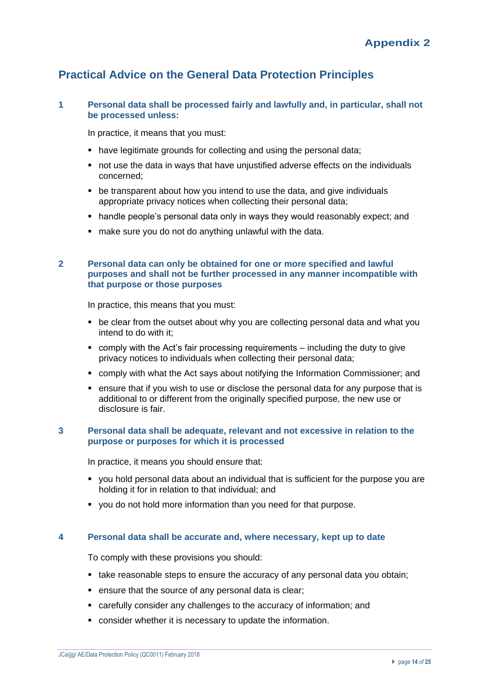## **Practical Advice on the General Data Protection Principles**

## **1 Personal data shall be processed fairly and lawfully and, in particular, shall not be processed unless:**

In practice, it means that you must:

- have legitimate grounds for collecting and using the personal data;
- not use the data in ways that have unjustified adverse effects on the individuals concerned;
- be transparent about how you intend to use the data, and give individuals appropriate privacy notices when collecting their personal data;
- handle people's personal data only in ways they would reasonably expect; and
- make sure you do not do anything unlawful with the data.

## **2 Personal data can only be obtained for one or more specified and lawful purposes and shall not be further processed in any manner incompatible with that purpose or those purposes**

In practice, this means that you must:

- be clear from the outset about why you are collecting personal data and what you intend to do with it;
- comply with the Act's fair processing requirements including the duty to give privacy notices to individuals when collecting their personal data;
- comply with what the Act says about [notifying](http://www.ico.gov.uk/Home/for_organisations/data_protection_guide/data_protection_basics.aspx#notifying) the Information Commissioner; and
- ensure that if you wish to use or disclose the personal data for any purpose that is additional to or different from the originally specified purpose, the new use or disclosure is fair.

#### **3 Personal data shall be adequate, relevant and not excessive in relation to the purpose or purposes for which it is processed**

In practice, it means you should ensure that:

- you hold personal data about an individual that is sufficient for the purpose you are holding it for in relation to that individual; and
- you do not hold more information than you need for that purpose.

#### **4 Personal data shall be accurate and, where necessary, kept up to date**

To comply with these provisions you should:

- take reasonable steps to ensure the accuracy of any personal data you obtain;
- ensure that the source of any personal data is clear;
- carefully consider any challenges to the accuracy of information; and
- consider whether it is necessary to update the information.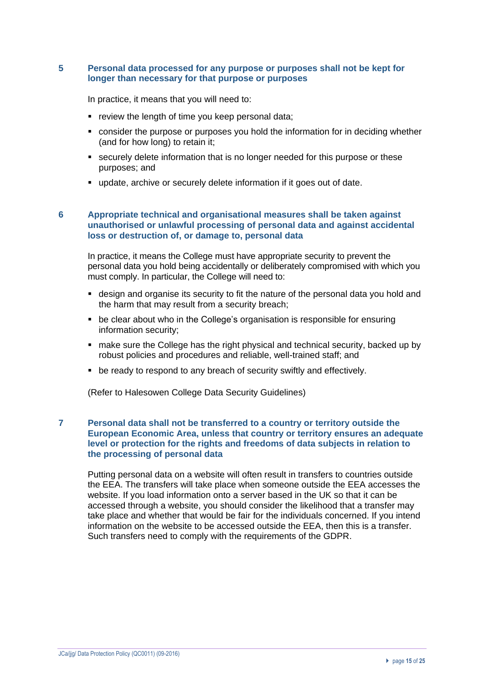## **5 Personal data processed for any purpose or purposes shall not be kept for longer than necessary for that purpose or purposes**

In practice, it means that you will need to:

- review the length of time you keep personal data;
- consider the purpose or purposes you hold the information for in deciding whether (and for how long) to retain it;
- **E** securely delete information that is no longer needed for this purpose or these purposes; and
- update, archive or securely delete information if it goes out of date.

#### **6 Appropriate technical and organisational measures shall be taken against unauthorised or unlawful processing of personal data and against accidental loss or destruction of, or damage to, personal data**

In practice, it means the College must have appropriate security to prevent the personal data you hold being accidentally or deliberately compromised with which you must comply. In particular, the College will need to:

- design and organise its security to fit the nature of the personal data you hold and the harm that may result from a security breach;
- be clear about who in the College's organisation is responsible for ensuring information security;
- make sure the College has the right physical and technical security, backed up by robust policies and procedures and reliable, well-trained staff; and
- be ready to respond to any breach of security swiftly and effectively.

(Refer to Halesowen College Data Security Guidelines)

### **7 Personal data shall not be transferred to a country or territory outside the European Economic Area, unless that country or territory ensures an adequate level or protection for the rights and freedoms of data subjects in relation to the processing of personal data**

Putting personal data on a website will often result in transfers to countries outside the EEA. The transfers will take place when someone outside the EEA accesses the website. If you load information onto a server based in the UK so that it can be accessed through a website, you should consider the likelihood that a transfer may take place and whether that would be fair for the individuals concerned. If you intend information on the website to be accessed outside the EEA, then this is a transfer. Such transfers need to comply with the requirements of the GDPR.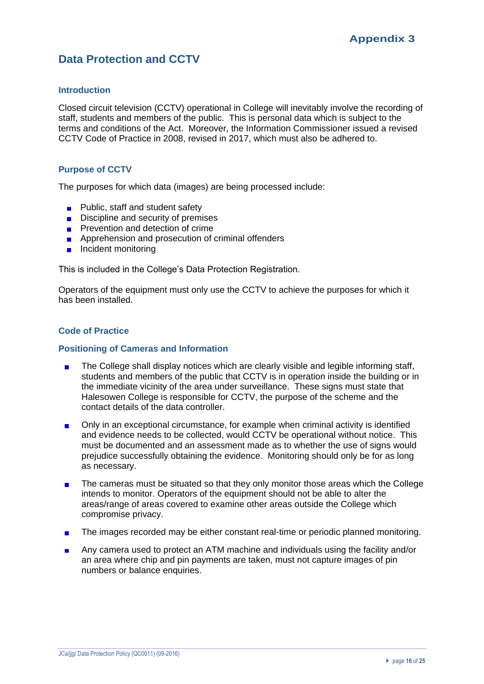## **Data Protection and CCTV**

## **Introduction**

Closed circuit television (CCTV) operational in College will inevitably involve the recording of staff, students and members of the public. This is personal data which is subject to the terms and conditions of the Act. Moreover, the Information Commissioner issued a revised CCTV Code of Practice in 2008, revised in 2017, which must also be adhered to.

## **Purpose of CCTV**

The purposes for which data (images) are being processed include:

- $\blacksquare$  Public, staff and student safety
- $\Box$  Discipline and security of premises
- **Prevention and detection of crime**
- **Apprehension and prosecution of criminal offenders**
- **Incident monitoring**

This is included in the College's Data Protection Registration.

Operators of the equipment must only use the CCTV to achieve the purposes for which it has been installed.

### **Code of Practice**

#### **Positioning of Cameras and Information**

- The College shall display notices which are clearly visible and legible informing staff,  $\blacksquare$ students and members of the public that CCTV is in operation inside the building or in the immediate vicinity of the area under surveillance. These signs must state that Halesowen College is responsible for CCTV, the purpose of the scheme and the contact details of the data controller.
- Only in an exceptional circumstance, for example when criminal activity is identified  $\blacksquare$ and evidence needs to be collected, would CCTV be operational without notice. This must be documented and an assessment made as to whether the use of signs would prejudice successfully obtaining the evidence. Monitoring should only be for as long as necessary.
- The cameras must be situated so that they only monitor those areas which the College  $\blacksquare$ intends to monitor. Operators of the equipment should not be able to alter the areas/range of areas covered to examine other areas outside the College which compromise privacy.
- The images recorded may be either constant real-time or periodic planned monitoring.  $\blacksquare$
- Any camera used to protect an ATM machine and individuals using the facility and/or  $\blacksquare$ an area where chip and pin payments are taken, must not capture images of pin numbers or balance enquiries.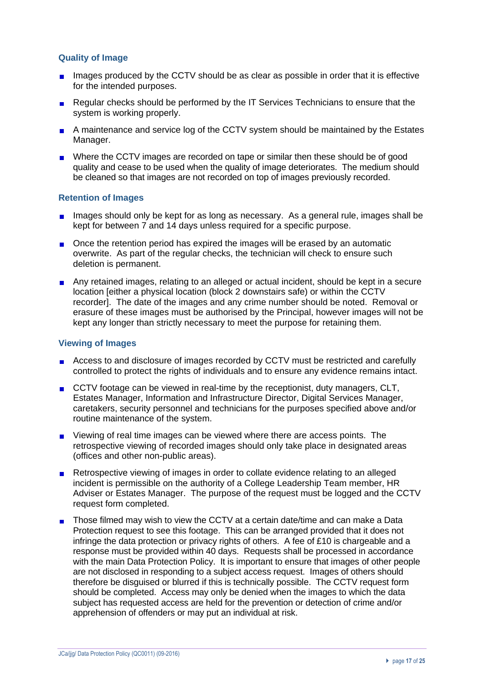## **Quality of Image**

- $\blacksquare$  Images produced by the CCTV should be as clear as possible in order that it is effective for the intended purposes.
- Regular checks should be performed by the IT Services Technicians to ensure that the system is working properly.
- A maintenance and service log of the CCTV system should be maintained by the Estates Manager.
- **Number 6** Where the CCTV images are recorded on tape or similar then these should be of good quality and cease to be used when the quality of image deteriorates. The medium should be cleaned so that images are not recorded on top of images previously recorded.

## **Retention of Images**

- Images should only be kept for as long as necessary. As a general rule, images shall be kept for between 7 and 14 days unless required for a specific purpose.
- **n** Once the retention period has expired the images will be erased by an automatic overwrite. As part of the regular checks, the technician will check to ensure such deletion is permanent.
- **Any retained images, relating to an alleged or actual incident, should be kept in a secure** location [either a physical location (block 2 downstairs safe) or within the CCTV recorder]. The date of the images and any crime number should be noted. Removal or erasure of these images must be authorised by the Principal, however images will not be kept any longer than strictly necessary to meet the purpose for retaining them.

### **Viewing of Images**

- Access to and disclosure of images recorded by CCTV must be restricted and carefully controlled to protect the rights of individuals and to ensure any evidence remains intact.
- CCTV footage can be viewed in real-time by the receptionist, duty managers, CLT, Estates Manager, Information and Infrastructure Director, Digital Services Manager, caretakers, security personnel and technicians for the purposes specified above and/or routine maintenance of the system.
- **DED** Viewing of real time images can be viewed where there are access points. The retrospective viewing of recorded images should only take place in designated areas (offices and other non-public areas).
- Retrospective viewing of images in order to collate evidence relating to an alleged incident is permissible on the authority of a College Leadership Team member, HR Adviser or Estates Manager. The purpose of the request must be logged and the CCTV request form completed.
- Those filmed may wish to view the CCTV at a certain date/time and can make a Data Ē. Protection request to see this footage. This can be arranged provided that it does not infringe the data protection or privacy rights of others. A fee of £10 is chargeable and a response must be provided within 40 days. Requests shall be processed in accordance with the main Data Protection Policy. It is important to ensure that images of other people are not disclosed in responding to a subject access request. Images of others should therefore be disguised or blurred if this is technically possible. The CCTV request form should be completed. Access may only be denied when the images to which the data subject has requested access are held for the prevention or detection of crime and/or apprehension of offenders or may put an individual at risk.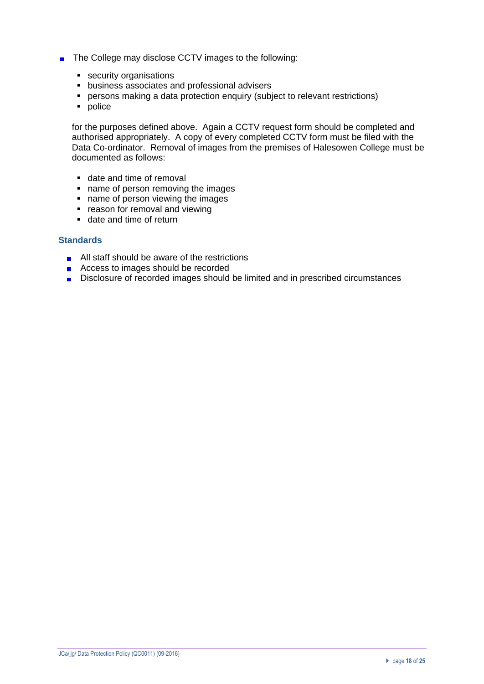- The College may disclose CCTV images to the following:
	- security organisations
	- business associates and professional advisers
	- **•** persons making a data protection enquiry (subject to relevant restrictions)
	- police

for the purposes defined above. Again a CCTV request form should be completed and authorised appropriately. A copy of every completed CCTV form must be filed with the Data Co-ordinator. Removal of images from the premises of Halesowen College must be documented as follows:

- date and time of removal
- name of person removing the images
- name of person viewing the images
- reason for removal and viewing
- date and time of return

#### **Standards**

- **All staff should be aware of the restrictions**
- Access to images should be recorded
- Disclosure of recorded images should be limited and in prescribed circumstances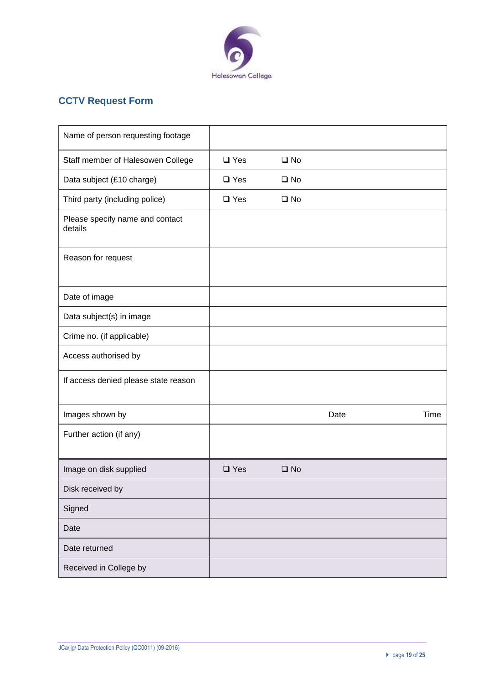

# **CCTV Request Form**

| Name of person requesting footage          |               |              |      |      |
|--------------------------------------------|---------------|--------------|------|------|
| Staff member of Halesowen College          | $\square$ Yes | $\square$ No |      |      |
| Data subject (£10 charge)                  | $\square$ Yes | $\square$ No |      |      |
| Third party (including police)             | $\square$ Yes | $\square$ No |      |      |
| Please specify name and contact<br>details |               |              |      |      |
| Reason for request                         |               |              |      |      |
| Date of image                              |               |              |      |      |
| Data subject(s) in image                   |               |              |      |      |
| Crime no. (if applicable)                  |               |              |      |      |
| Access authorised by                       |               |              |      |      |
| If access denied please state reason       |               |              |      |      |
| Images shown by                            |               |              | Date | Time |
| Further action (if any)                    |               |              |      |      |
| Image on disk supplied                     | $\square$ Yes | $\square$ No |      |      |
| Disk received by                           |               |              |      |      |
| Signed                                     |               |              |      |      |
| Date                                       |               |              |      |      |
| Date returned                              |               |              |      |      |
| Received in College by                     |               |              |      |      |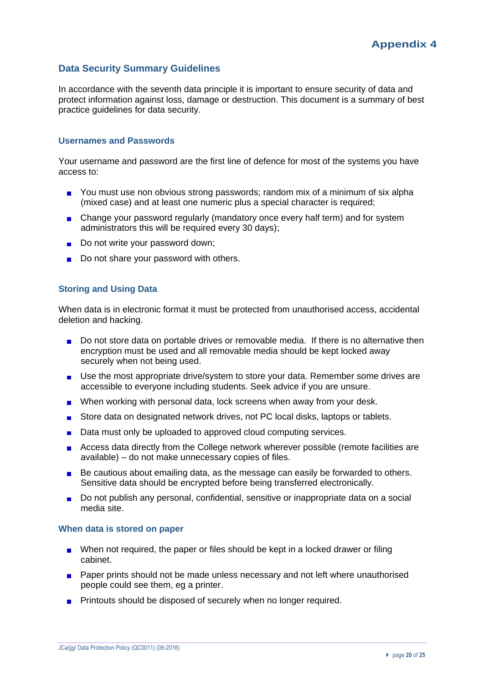## **Data Security Summary Guidelines**

In accordance with the seventh data principle it is important to ensure security of data and protect information against loss, damage or destruction. This document is a summary of best practice guidelines for data security.

## **Usernames and Passwords**

Your username and password are the first line of defence for most of the systems you have access to:

- You must use non obvious strong passwords; random mix of a minimum of six alpha (mixed case) and at least one numeric plus a special character is required;
- Change your password regularly (mandatory once every half term) and for system administrators this will be required every 30 days);
- Do not write your password down;
- Do not share your password with others.

#### **Storing and Using Data**

When data is in electronic format it must be protected from unauthorised access, accidental deletion and hacking.

- Do not store data on portable drives or removable media. If there is no alternative then encryption must be used and all removable media should be kept locked away securely when not being used.
- Use the most appropriate drive/system to store your data. Remember some drives are accessible to everyone including students. Seek advice if you are unsure.
- When working with personal data, lock screens when away from your desk.  $\blacksquare$
- Store data on designated network drives, not PC local disks, laptops or tablets.  $\blacksquare$
- Data must only be uploaded to approved cloud computing services.  $\blacksquare$
- Access data directly from the College network wherever possible (remote facilities are available) – do not make unnecessary copies of files.
- Be cautious about emailing data, as the message can easily be forwarded to others. Sensitive data should be encrypted before being transferred electronically.
- Do not publish any personal, confidential, sensitive or inappropriate data on a social media site.

#### **When data is stored on paper**

- When not required, the paper or files should be kept in a locked drawer or filing cabinet.
- **Paper prints should not be made unless necessary and not left where unauthorised** people could see them, eg a printer.
- **Printouts should be disposed of securely when no longer required.**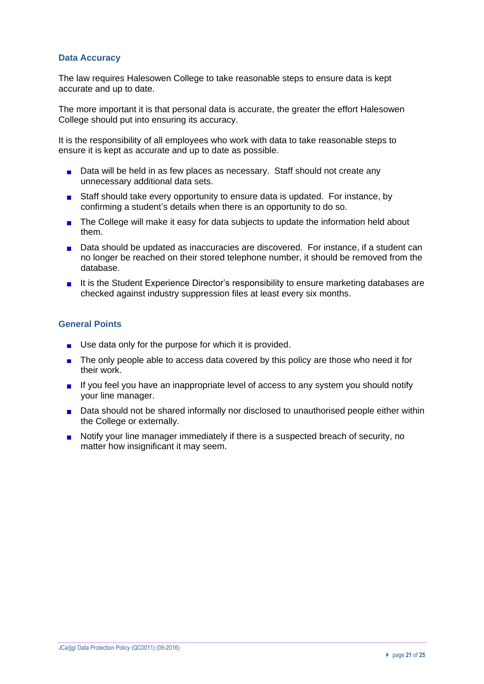## **Data Accuracy**

The law requires Halesowen College to take reasonable steps to ensure data is kept accurate and up to date.

The more important it is that personal data is accurate, the greater the effort Halesowen College should put into ensuring its accuracy.

It is the responsibility of all employees who work with data to take reasonable steps to ensure it is kept as accurate and up to date as possible.

- **Data will be held in as few places as necessary. Staff should not create any** unnecessary additional data sets.
- Staff should take every opportunity to ensure data is updated. For instance, by confirming a student's details when there is an opportunity to do so.
- The College will make it easy for data subjects to update the information held about  $\mathbf{r}$ them.
- Data should be updated as inaccuracies are discovered. For instance, if a student can no longer be reached on their stored telephone number, it should be removed from the database.
- It is the Student Experience Director's responsibility to ensure marketing databases are checked against industry suppression files at least every six months.

## **General Points**

- Use data only for the purpose for which it is provided.  $\blacksquare$
- The only people able to access data covered by this policy are those who need it for  $\blacksquare$ their work.
- If you feel you have an inappropriate level of access to any system you should notify your line manager.
- **Data should not be shared informally nor disclosed to unauthorised people either within** the College or externally.
- Notify your line manager immediately if there is a suspected breach of security, no matter how insignificant it may seem.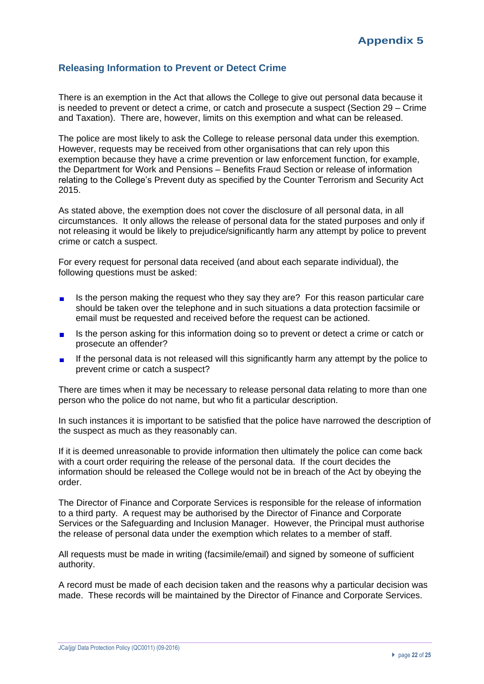## **Releasing Information to Prevent or Detect Crime**

There is an exemption in the Act that allows the College to give out personal data because it is needed to prevent or detect a crime, or catch and prosecute a suspect (Section 29 – Crime and Taxation). There are, however, limits on this exemption and what can be released.

The police are most likely to ask the College to release personal data under this exemption. However, requests may be received from other organisations that can rely upon this exemption because they have a crime prevention or law enforcement function, for example, the Department for Work and Pensions – Benefits Fraud Section or release of information relating to the College's Prevent duty as specified by the Counter Terrorism and Security Act 2015.

As stated above, the exemption does not cover the disclosure of all personal data, in all circumstances. It only allows the release of personal data for the stated purposes and only if not releasing it would be likely to prejudice/significantly harm any attempt by police to prevent crime or catch a suspect.

For every request for personal data received (and about each separate individual), the following questions must be asked:

- Is the person making the request who they say they are? For this reason particular care  $\blacksquare$ should be taken over the telephone and in such situations a data protection facsimile or email must be requested and received before the request can be actioned.
- Is the person asking for this information doing so to prevent or detect a crime or catch or  $\blacksquare$ prosecute an offender?
- If the personal data is not released will this significantly harm any attempt by the police to  $\blacksquare$ prevent crime or catch a suspect?

There are times when it may be necessary to release personal data relating to more than one person who the police do not name, but who fit a particular description.

In such instances it is important to be satisfied that the police have narrowed the description of the suspect as much as they reasonably can.

If it is deemed unreasonable to provide information then ultimately the police can come back with a court order requiring the release of the personal data. If the court decides the information should be released the College would not be in breach of the Act by obeying the order.

The Director of Finance and Corporate Services is responsible for the release of information to a third party. A request may be authorised by the Director of Finance and Corporate Services or the Safeguarding and Inclusion Manager. However, the Principal must authorise the release of personal data under the exemption which relates to a member of staff.

All requests must be made in writing (facsimile/email) and signed by someone of sufficient authority.

A record must be made of each decision taken and the reasons why a particular decision was made. These records will be maintained by the Director of Finance and Corporate Services.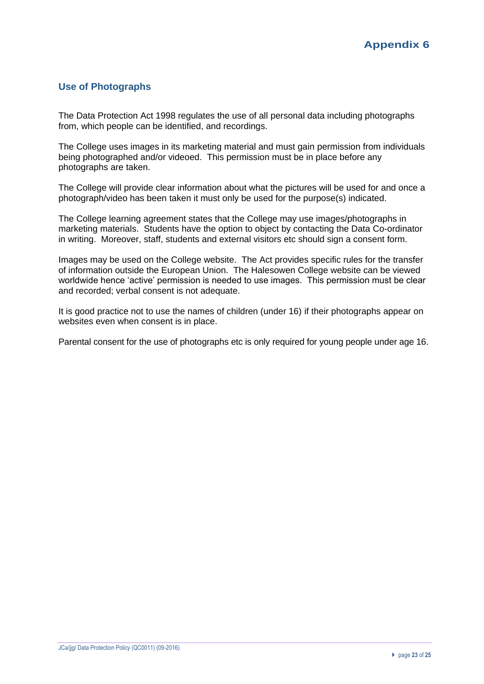## **Use of Photographs**

The Data Protection Act 1998 regulates the use of all personal data including photographs from, which people can be identified, and recordings.

The College uses images in its marketing material and must gain permission from individuals being photographed and/or videoed. This permission must be in place before any photographs are taken.

The College will provide clear information about what the pictures will be used for and once a photograph/video has been taken it must only be used for the purpose(s) indicated.

The College learning agreement states that the College may use images/photographs in marketing materials. Students have the option to object by contacting the Data Co-ordinator in writing. Moreover, staff, students and external visitors etc should sign a consent form.

Images may be used on the College website. The Act provides specific rules for the transfer of information outside the European Union. The Halesowen College website can be viewed worldwide hence 'active' permission is needed to use images. This permission must be clear and recorded; verbal consent is not adequate.

It is good practice not to use the names of children (under 16) if their photographs appear on websites even when consent is in place.

Parental consent for the use of photographs etc is only required for young people under age 16.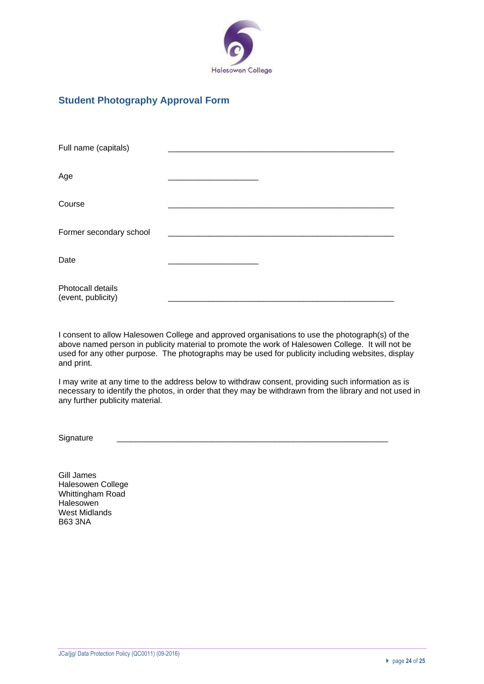

## **Student Photography Approval Form**

| Full name (capitals)                    |  |  |
|-----------------------------------------|--|--|
| Age                                     |  |  |
| Course                                  |  |  |
| Former secondary school                 |  |  |
| Date                                    |  |  |
| Photocall details<br>(event, publicity) |  |  |

I consent to allow Halesowen College and approved organisations to use the photograph(s) of the above named person in publicity material to promote the work of Halesowen College. It will not be used for any other purpose. The photographs may be used for publicity including websites, display and print.

I may write at any time to the address below to withdraw consent, providing such information as is necessary to identify the photos, in order that they may be withdrawn from the library and not used in any further publicity material.

Signature

Gill James Halesowen College Whittingham Road **Halesowen** West Midlands B63 3NA